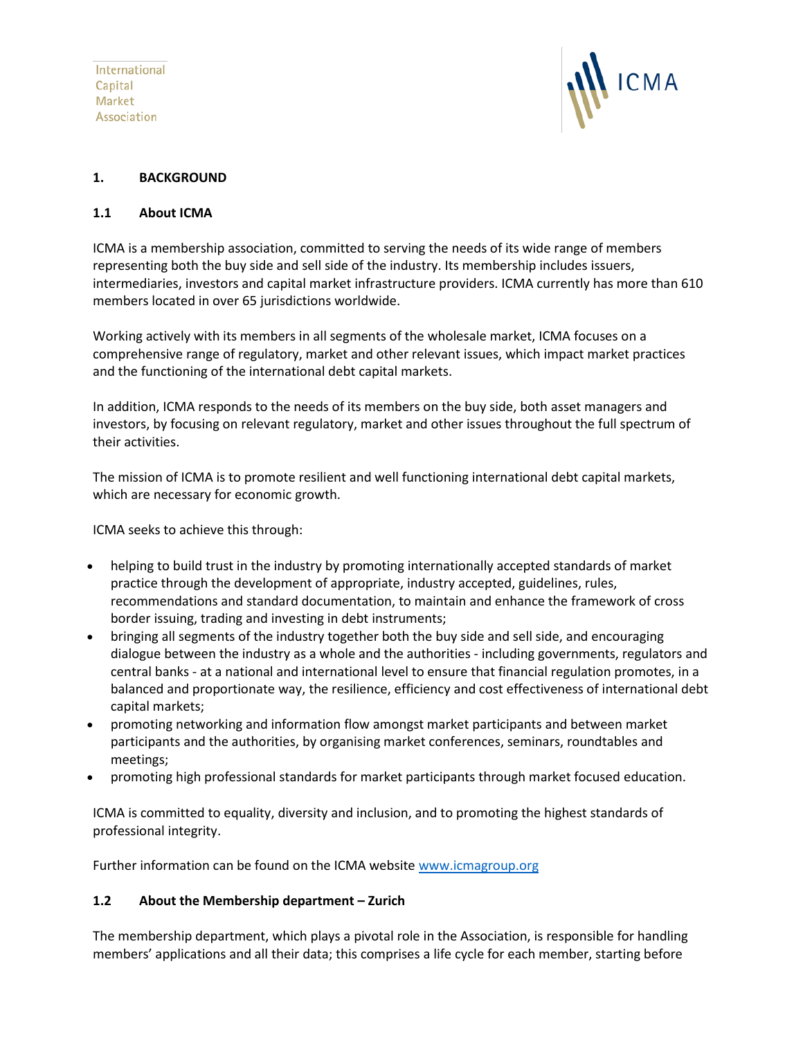International Capital Market Association



# **1. BACKGROUND**

# **1.1 About ICMA**

ICMA is a membership association, committed to serving the needs of its wide range of members representing both the buy side and sell side of the industry. Its membership includes issuers, intermediaries, investors and capital market infrastructure providers. ICMA currently has more than 610 members located in over 65 jurisdictions worldwide.

Working actively with its members in all segments of the wholesale market, ICMA focuses on a comprehensive range of regulatory, market and other relevant issues, which impact market practices and the functioning of the international debt capital markets.

In addition, ICMA responds to the needs of its members on the buy side, both asset managers and investors, by focusing on relevant regulatory, market and other issues throughout the full spectrum of their activities.

The mission of ICMA is to promote resilient and well functioning international debt capital markets, which are necessary for economic growth.

ICMA seeks to achieve this through:

- helping to build trust in the industry by promoting internationally accepted standards of market practice through the development of appropriate, industry accepted, guidelines, rules, recommendations and standard documentation, to maintain and enhance the framework of cross border issuing, trading and investing in debt instruments;
- bringing all segments of the industry together both the buy side and sell side, and encouraging dialogue between the industry as a whole and the authorities - including governments, regulators and central banks - at a national and international level to ensure that financial regulation promotes, in a balanced and proportionate way, the resilience, efficiency and cost effectiveness of international debt capital markets;
- promoting networking and information flow amongst market participants and between market participants and the authorities, by organising market conferences, seminars, roundtables and meetings;
- promoting high professional standards for market participants through market focused education.

ICMA is committed to equality, diversity and inclusion, and to promoting the highest standards of professional integrity.

Further information can be found on the ICMA website [www.icmagroup.org](http://www.icmagroup.org/)

# **1.2 About the Membership department – Zurich**

The membership department, which plays a pivotal role in the Association, is responsible for handling members' applications and all their data; this comprises a life cycle for each member, starting before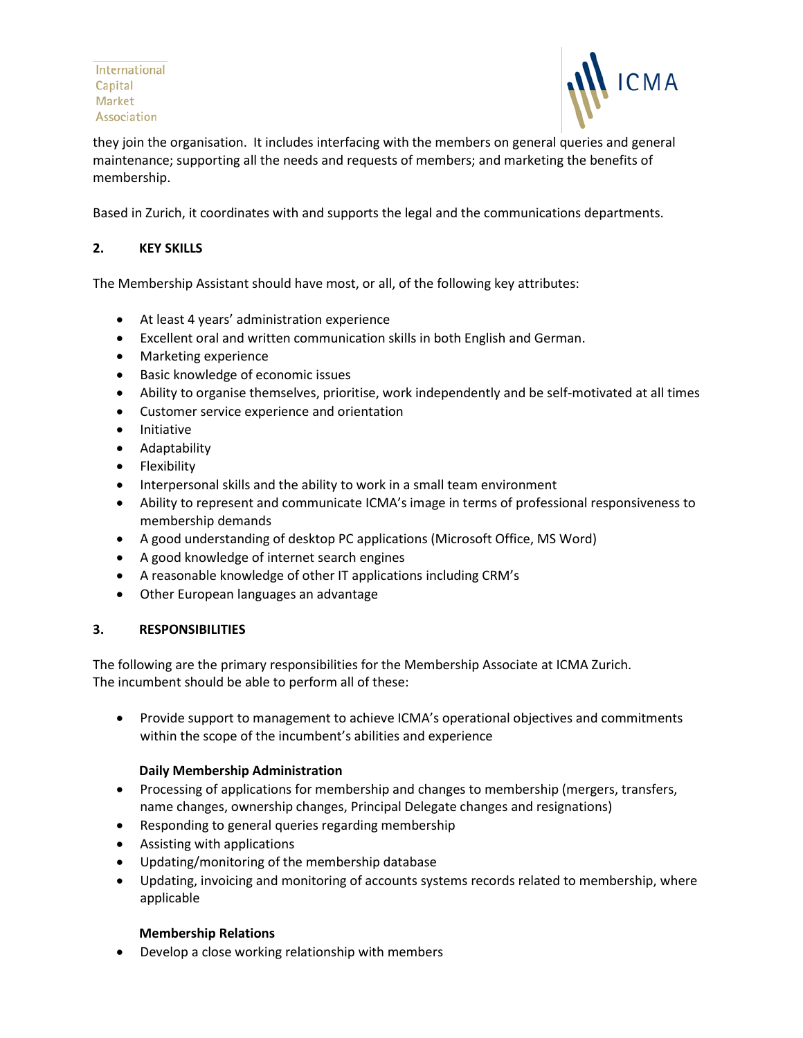International Capital Market Association



they join the organisation. It includes interfacing with the members on general queries and general maintenance; supporting all the needs and requests of members; and marketing the benefits of membership.

Based in Zurich, it coordinates with and supports the legal and the communications departments.

# **2. KEY SKILLS**

The Membership Assistant should have most, or all, of the following key attributes:

- At least 4 years' administration experience
- Excellent oral and written communication skills in both English and German.
- Marketing experience
- Basic knowledge of economic issues
- Ability to organise themselves, prioritise, work independently and be self-motivated at all times
- Customer service experience and orientation
- Initiative
- Adaptability
- Flexibility
- Interpersonal skills and the ability to work in a small team environment
- Ability to represent and communicate ICMA's image in terms of professional responsiveness to membership demands
- A good understanding of desktop PC applications (Microsoft Office, MS Word)
- A good knowledge of internet search engines
- A reasonable knowledge of other IT applications including CRM's
- Other European languages an advantage

## **3. RESPONSIBILITIES**

The following are the primary responsibilities for the Membership Associate at ICMA Zurich. The incumbent should be able to perform all of these:

• Provide support to management to achieve ICMA's operational objectives and commitments within the scope of the incumbent's abilities and experience

## **Daily Membership Administration**

- Processing of applications for membership and changes to membership (mergers, transfers, name changes, ownership changes, Principal Delegate changes and resignations)
- Responding to general queries regarding membership
- Assisting with applications
- Updating/monitoring of the membership database
- Updating, invoicing and monitoring of accounts systems records related to membership, where applicable

## **Membership Relations**

• Develop a close working relationship with members